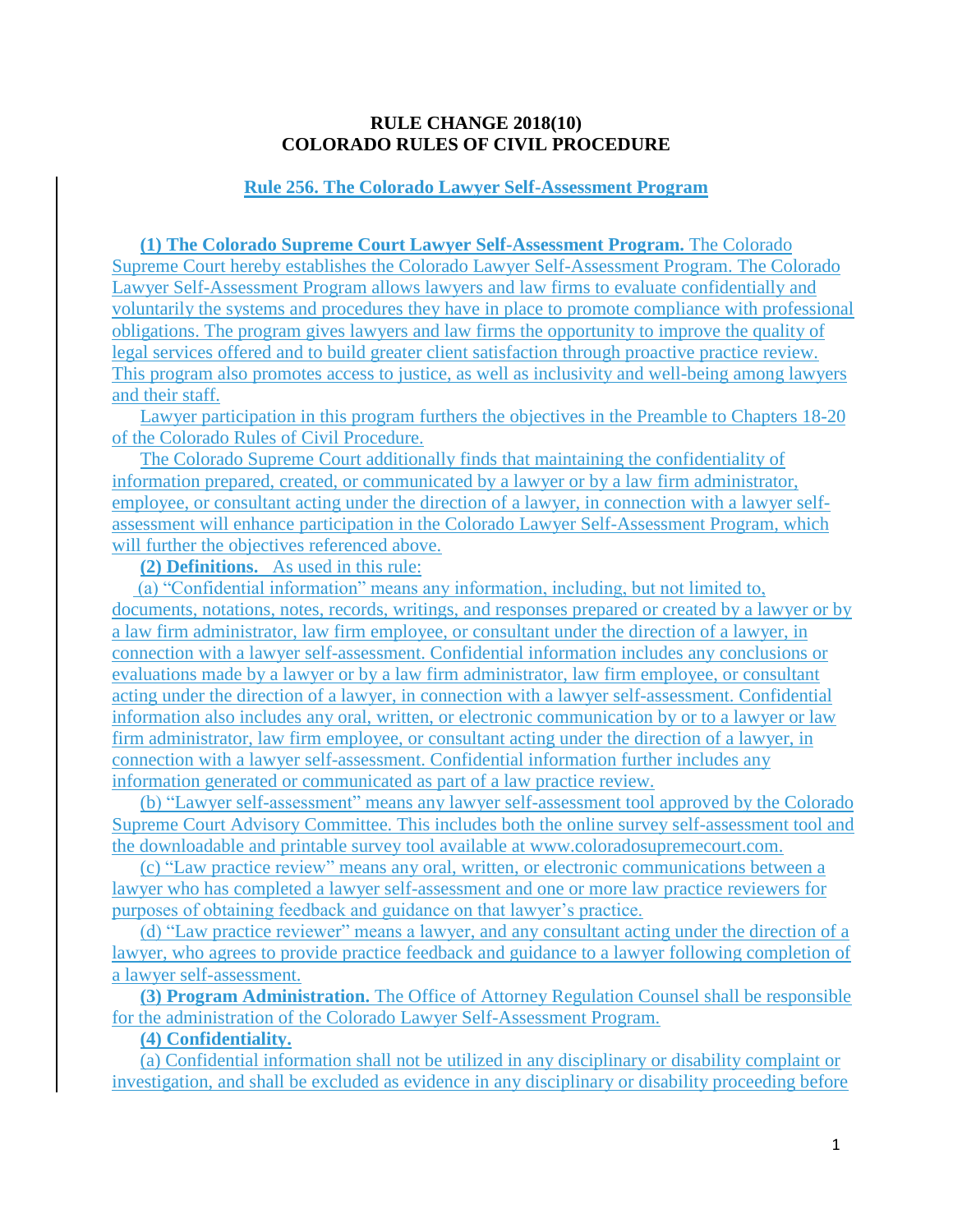# **RULE CHANGE 2018(10) COLORADO RULES OF CIVIL PROCEDURE**

# **Rule 256. The Colorado Lawyer Self-Assessment Program**

**(1) The Colorado Supreme Court Lawyer Self-Assessment Program.** The Colorado Supreme Court hereby establishes the Colorado Lawyer Self-Assessment Program. The Colorado Lawyer Self-Assessment Program allows lawyers and law firms to evaluate confidentially and voluntarily the systems and procedures they have in place to promote compliance with professional obligations. The program gives lawyers and law firms the opportunity to improve the quality of legal services offered and to build greater client satisfaction through proactive practice review. This program also promotes access to justice, as well as inclusivity and well-being among lawyers and their staff.

Lawyer participation in this program furthers the objectives in the Preamble to Chapters 18-20 of the Colorado Rules of Civil Procedure.

The Colorado Supreme Court additionally finds that maintaining the confidentiality of information prepared, created, or communicated by a lawyer or by a law firm administrator, employee, or consultant acting under the direction of a lawyer, in connection with a lawyer selfassessment will enhance participation in the Colorado Lawyer Self-Assessment Program, which will further the objectives referenced above.

**(2) Definitions.** As used in this rule:

(a) "Confidential information" means any information, including, but not limited to, documents, notations, notes, records, writings, and responses prepared or created by a lawyer or by a law firm administrator, law firm employee, or consultant under the direction of a lawyer, in connection with a lawyer self-assessment. Confidential information includes any conclusions or evaluations made by a lawyer or by a law firm administrator, law firm employee, or consultant acting under the direction of a lawyer, in connection with a lawyer self-assessment. Confidential information also includes any oral, written, or electronic communication by or to a lawyer or law firm administrator, law firm employee, or consultant acting under the direction of a lawyer, in connection with a lawyer self-assessment. Confidential information further includes any information generated or communicated as part of a law practice review.

(b) "Lawyer self-assessment" means any lawyer self-assessment tool approved by the Colorado Supreme Court Advisory Committee. This includes both the online survey self-assessment tool and the downloadable and printable survey tool available at www.coloradosupremecourt.com.

(c) "Law practice review" means any oral, written, or electronic communications between a lawyer who has completed a lawyer self-assessment and one or more law practice reviewers for purposes of obtaining feedback and guidance on that lawyer's practice.

(d) "Law practice reviewer" means a lawyer, and any consultant acting under the direction of a lawyer, who agrees to provide practice feedback and guidance to a lawyer following completion of a lawyer self-assessment.

**(3) Program Administration.** The Office of Attorney Regulation Counsel shall be responsible for the administration of the Colorado Lawyer Self-Assessment Program.

# **(4) Confidentiality.**

(a) Confidential information shall not be utilized in any disciplinary or disability complaint or investigation, and shall be excluded as evidence in any disciplinary or disability proceeding before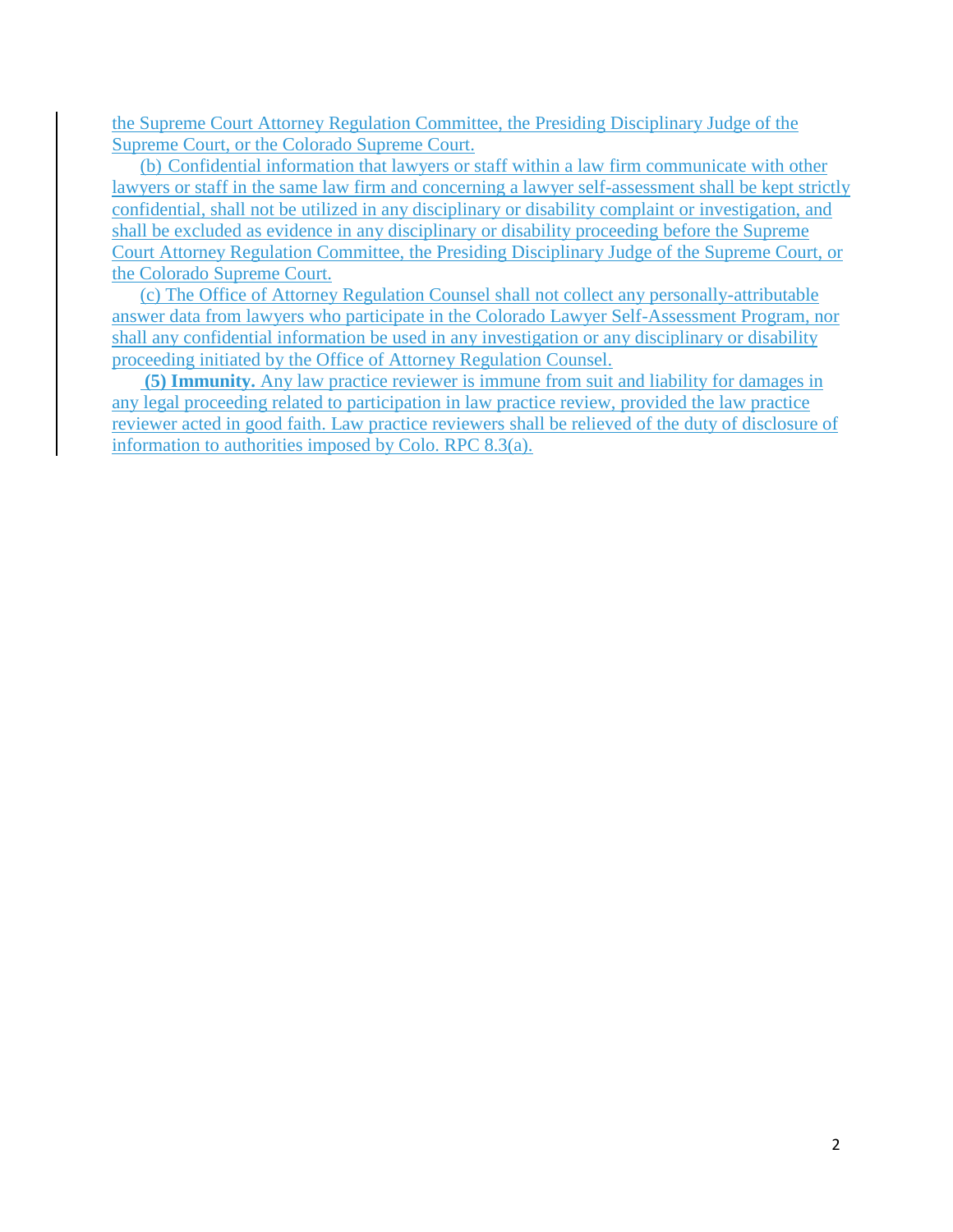the Supreme Court Attorney Regulation Committee, the Presiding Disciplinary Judge of the Supreme Court, or the Colorado Supreme Court.

(b) Confidential information that lawyers or staff within a law firm communicate with other lawyers or staff in the same law firm and concerning a lawyer self-assessment shall be kept strictly confidential, shall not be utilized in any disciplinary or disability complaint or investigation, and shall be excluded as evidence in any disciplinary or disability proceeding before the Supreme Court Attorney Regulation Committee, the Presiding Disciplinary Judge of the Supreme Court, or the Colorado Supreme Court.

(c) The Office of Attorney Regulation Counsel shall not collect any personally-attributable answer data from lawyers who participate in the Colorado Lawyer Self-Assessment Program, nor shall any confidential information be used in any investigation or any disciplinary or disability proceeding initiated by the Office of Attorney Regulation Counsel.

**(5) Immunity.** Any law practice reviewer is immune from suit and liability for damages in any legal proceeding related to participation in law practice review, provided the law practice reviewer acted in good faith. Law practice reviewers shall be relieved of the duty of disclosure of information to authorities imposed by Colo. RPC 8.3(a).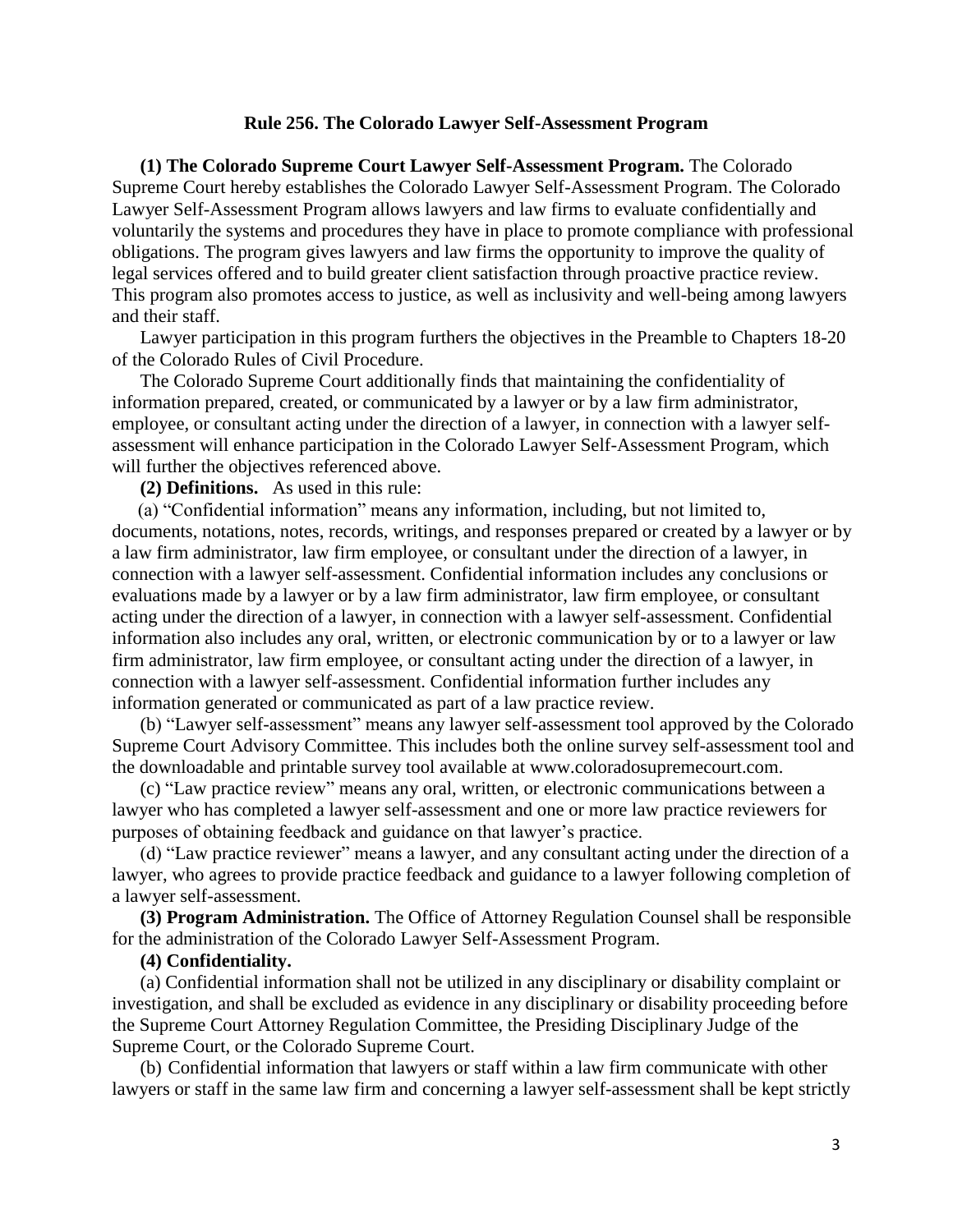#### **Rule 256. The Colorado Lawyer Self-Assessment Program**

**(1) The Colorado Supreme Court Lawyer Self-Assessment Program.** The Colorado Supreme Court hereby establishes the Colorado Lawyer Self-Assessment Program. The Colorado Lawyer Self-Assessment Program allows lawyers and law firms to evaluate confidentially and voluntarily the systems and procedures they have in place to promote compliance with professional obligations. The program gives lawyers and law firms the opportunity to improve the quality of legal services offered and to build greater client satisfaction through proactive practice review. This program also promotes access to justice, as well as inclusivity and well-being among lawyers and their staff.

Lawyer participation in this program furthers the objectives in the Preamble to Chapters 18-20 of the Colorado Rules of Civil Procedure.

The Colorado Supreme Court additionally finds that maintaining the confidentiality of information prepared, created, or communicated by a lawyer or by a law firm administrator, employee, or consultant acting under the direction of a lawyer, in connection with a lawyer selfassessment will enhance participation in the Colorado Lawyer Self-Assessment Program, which will further the objectives referenced above.

**(2) Definitions.** As used in this rule:

(a) "Confidential information" means any information, including, but not limited to, documents, notations, notes, records, writings, and responses prepared or created by a lawyer or by a law firm administrator, law firm employee, or consultant under the direction of a lawyer, in connection with a lawyer self-assessment. Confidential information includes any conclusions or evaluations made by a lawyer or by a law firm administrator, law firm employee, or consultant acting under the direction of a lawyer, in connection with a lawyer self-assessment. Confidential information also includes any oral, written, or electronic communication by or to a lawyer or law firm administrator, law firm employee, or consultant acting under the direction of a lawyer, in connection with a lawyer self-assessment. Confidential information further includes any information generated or communicated as part of a law practice review.

(b) "Lawyer self-assessment" means any lawyer self-assessment tool approved by the Colorado Supreme Court Advisory Committee. This includes both the online survey self-assessment tool and the downloadable and printable survey tool available at www.coloradosupremecourt.com.

(c) "Law practice review" means any oral, written, or electronic communications between a lawyer who has completed a lawyer self-assessment and one or more law practice reviewers for purposes of obtaining feedback and guidance on that lawyer's practice.

(d) "Law practice reviewer" means a lawyer, and any consultant acting under the direction of a lawyer, who agrees to provide practice feedback and guidance to a lawyer following completion of a lawyer self-assessment.

**(3) Program Administration.** The Office of Attorney Regulation Counsel shall be responsible for the administration of the Colorado Lawyer Self-Assessment Program.

#### **(4) Confidentiality.**

(a) Confidential information shall not be utilized in any disciplinary or disability complaint or investigation, and shall be excluded as evidence in any disciplinary or disability proceeding before the Supreme Court Attorney Regulation Committee, the Presiding Disciplinary Judge of the Supreme Court, or the Colorado Supreme Court.

(b) Confidential information that lawyers or staff within a law firm communicate with other lawyers or staff in the same law firm and concerning a lawyer self-assessment shall be kept strictly